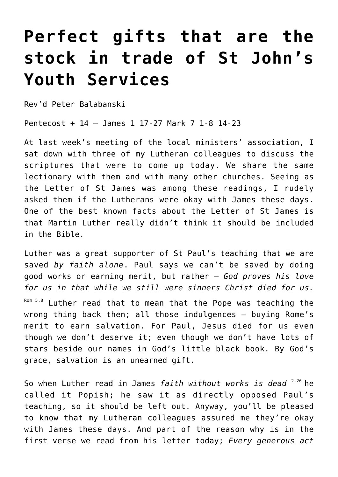## **[Perfect gifts that are the](https://stjohnsadelaide.org.au/perfect-gifts-that-are-the-stock-in-trade-of-st-johns-youth-services/) [stock in trade of St John's](https://stjohnsadelaide.org.au/perfect-gifts-that-are-the-stock-in-trade-of-st-johns-youth-services/) [Youth Services](https://stjohnsadelaide.org.au/perfect-gifts-that-are-the-stock-in-trade-of-st-johns-youth-services/)**

Rev'd Peter Balabanski

Pentecost + 14 – James 1 17-27 Mark 7 1-8 14-23

At last week's meeting of the local ministers' association, I sat down with three of my Lutheran colleagues to discuss the scriptures that were to come up today. We share the same lectionary with them and with many other churches. Seeing as the Letter of St James was among these readings, I rudely asked them if the Lutherans were okay with James these days. One of the best known facts about the Letter of St James is that Martin Luther really didn't think it should be included in the Bible.

Luther was a great supporter of St Paul's teaching that we are saved *by faith alone*. Paul says we can't be saved by doing good works or earning merit, but rather – *God proves his love for us in that while we still were sinners Christ died for us.* Rom 5.8 Luther read that to mean that the Pope was teaching the wrong thing back then; all those indulgences – buying Rome's merit to earn salvation. For Paul, Jesus died for us even though we don't deserve it; even though we don't have lots of stars beside our names in God's little black book. By God's grace, salvation is an unearned gift.

So when Luther read in James *faith without works is dead* 2.26 he called it Popish; he saw it as directly opposed Paul's teaching, so it should be left out. Anyway, you'll be pleased to know that my Lutheran colleagues assured me they're okay with James these days. And part of the reason why is in the first verse we read from his letter today; *Every generous act*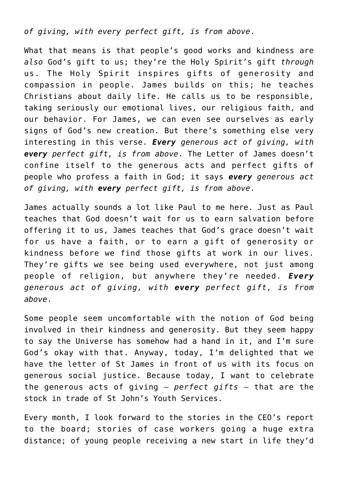*of giving, with every perfect gift, is from above*.

What that means is that people's good works and kindness are *also* God's gift to us; they're the Holy Spirit's gift *through* us. The Holy Spirit inspires gifts of generosity and compassion in people. James builds on this; he teaches Christians about daily life. He calls us to be responsible, taking seriously our emotional lives, our religious faith, and our behavior. For James, we can even see ourselves as early signs of God's new creation. But there's something else very interesting in this verse. *Every generous act of giving, with every perfect gift, is from above*. The Letter of James doesn't confine itself to the generous acts and perfect gifts of people who profess a faith in God; it says *every generous act of giving, with every perfect gift, is from above*.

James actually sounds a lot like Paul to me here. Just as Paul teaches that God doesn't wait for us to earn salvation before offering it to us, James teaches that God's grace doesn't wait for us have a faith, or to earn a gift of generosity or kindness before we find those gifts at work in our lives. They're gifts we see being used everywhere, not just among people of religion, but anywhere they're needed. *Every generous act of giving, with every perfect gift, is from above*.

Some people seem uncomfortable with the notion of God being involved in their kindness and generosity. But they seem happy to say the Universe has somehow had a hand in it, and I'm sure God's okay with that. Anyway, today, I'm delighted that we have the letter of St James in front of us with its focus on generous social justice. Because today, I want to celebrate the generous acts of giving – *perfect gifts* – that are the stock in trade of St John's Youth Services.

Every month, I look forward to the stories in the CEO's report to the board; stories of case workers going a huge extra distance; of young people receiving a new start in life they'd